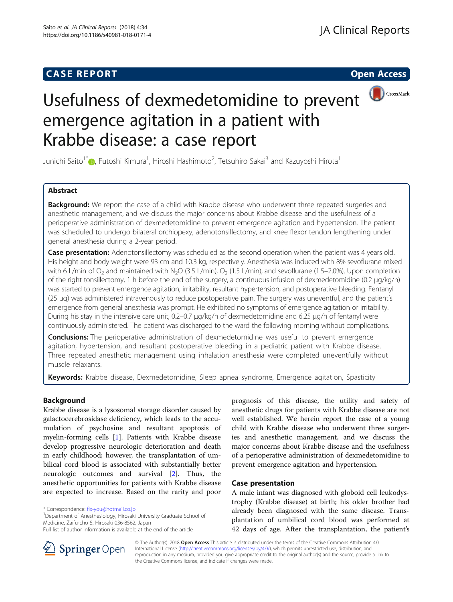# **CASE REPORT CASE REPORT CASE REPORT**



# Usefulness of dexmedetomidine to prevent emergence agitation in a patient with Krabbe disease: a case report

Junichi Saito<sup>1\*</sup>®[,](http://orcid.org/0000-0002-6040-4926) Futoshi Kimura<sup>1</sup>, Hiroshi Hashimoto<sup>2</sup>, Tetsuhiro Sakai<sup>3</sup> and Kazuyoshi Hirota<sup>1</sup>

# Abstract

**Background:** We report the case of a child with Krabbe disease who underwent three repeated surgeries and anesthetic management, and we discuss the major concerns about Krabbe disease and the usefulness of a perioperative administration of dexmedetomidine to prevent emergence agitation and hypertension. The patient was scheduled to undergo bilateral orchiopexy, adenotonsillectomy, and knee flexor tendon lengthening under general anesthesia during a 2-year period.

Case presentation: Adenotonsillectomy was scheduled as the second operation when the patient was 4 years old. His height and body weight were 93 cm and 10.3 kg, respectively. Anesthesia was induced with 8% sevoflurane mixed with 6 L/min of O<sub>2</sub> and maintained with N<sub>2</sub>O (3.5 L/min), O<sub>2</sub> (1.5 L/min), and sevoflurane (1.5–2.0%). Upon completion of the right tonsillectomy, 1 h before the end of the surgery, a continuous infusion of dexmedetomidine (0.2 μg/kg/h) was started to prevent emergence agitation, irritability, resultant hypertension, and postoperative bleeding. Fentanyl (25 μg) was administered intravenously to reduce postoperative pain. The surgery was uneventful, and the patient's emergence from general anesthesia was prompt. He exhibited no symptoms of emergence agitation or irritability. During his stay in the intensive care unit, 0.2–0.7 μg/kg/h of dexmedetomidine and 6.25 μg/h of fentanyl were continuously administered. The patient was discharged to the ward the following morning without complications.

**Conclusions:** The perioperative administration of dexmedetomidine was useful to prevent emergence agitation, hypertension, and resultant postoperative bleeding in a pediatric patient with Krabbe disease. Three repeated anesthetic management using inhalation anesthesia were completed uneventfully without muscle relaxants.

Keywords: Krabbe disease, Dexmedetomidine, Sleep apnea syndrome, Emergence agitation, Spasticity

# Background

Krabbe disease is a lysosomal storage disorder caused by galactocerebrosidase deficiency, which leads to the accumulation of psychosine and resultant apoptosis of myelin-forming cells [\[1](#page-3-0)]. Patients with Krabbe disease develop progressive neurologic deterioration and death in early childhood; however, the transplantation of umbilical cord blood is associated with substantially better neurologic outcomes and survival [[2\]](#page-3-0). Thus, the anesthetic opportunities for patients with Krabbe disease are expected to increase. Based on the rarity and poor

\* Correspondence: [fix-you@hotmail.co.jp](mailto:fix-you@hotmail.co.jp) <sup>1</sup>

<sup>1</sup>Department of Anesthesiology, Hirosaki University Graduate School of Medicine, Zaifu-cho 5, Hirosaki 036-8562, Japan

prognosis of this disease, the utility and safety of anesthetic drugs for patients with Krabbe disease are not well established. We herein report the case of a young child with Krabbe disease who underwent three surgeries and anesthetic management, and we discuss the major concerns about Krabbe disease and the usefulness of a perioperative administration of dexmedetomidine to prevent emergence agitation and hypertension.

# Case presentation

A male infant was diagnosed with globoid cell leukodystrophy (Krabbe disease) at birth; his older brother had already been diagnosed with the same disease. Transplantation of umbilical cord blood was performed at 42 days of age. After the transplantation, the patient's



© The Author(s). 2018 Open Access This article is distributed under the terms of the Creative Commons Attribution 4.0 International License ([http://creativecommons.org/licenses/by/4.0/\)](http://creativecommons.org/licenses/by/4.0/), which permits unrestricted use, distribution, and reproduction in any medium, provided you give appropriate credit to the original author(s) and the source, provide a link to the Creative Commons license, and indicate if changes were made.

Full list of author information is available at the end of the article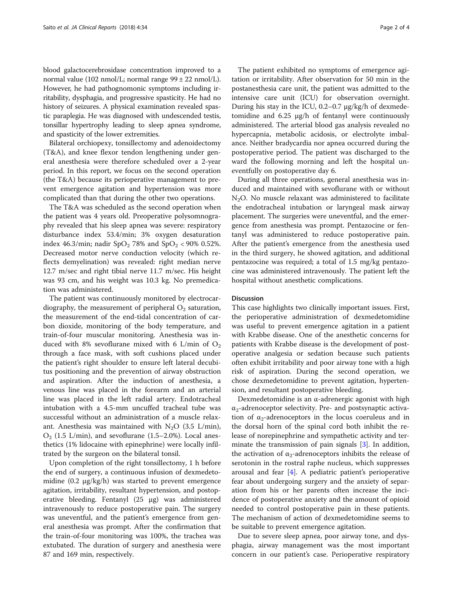blood galactocerebrosidase concentration improved to a normal value (102 nmol/L; normal range 99 ± 22 nmol/L). However, he had pathognomonic symptoms including irritability, dysphagia, and progressive spasticity. He had no history of seizures. A physical examination revealed spastic paraplegia. He was diagnosed with undescended testis, tonsillar hypertrophy leading to sleep apnea syndrome, and spasticity of the lower extremities.

Bilateral orchiopexy, tonsillectomy and adenoidectomy (T&A), and knee flexor tendon lengthening under general anesthesia were therefore scheduled over a 2-year period. In this report, we focus on the second operation (the T&A) because its perioperative management to prevent emergence agitation and hypertension was more complicated than that during the other two operations.

The T&A was scheduled as the second operation when the patient was 4 years old. Preoperative polysomnography revealed that his sleep apnea was severe: respiratory disturbance index 53.4/min; 3% oxygen desaturation index 46.3/min; nadir  $SpO<sub>2</sub> 78%$  and  $SpO<sub>2</sub> 90% 0.52%.$ Decreased motor nerve conduction velocity (which reflects demyelination) was revealed: right median nerve 12.7 m/sec and right tibial nerve 11.7 m/sec. His height was 93 cm, and his weight was 10.3 kg. No premedication was administered.

The patient was continuously monitored by electrocardiography, the measurement of peripheral  $O_2$  saturation, the measurement of the end-tidal concentration of carbon dioxide, monitoring of the body temperature, and train-of-four muscular monitoring. Anesthesia was induced with 8% sevoflurane mixed with 6 L/min of  $O_2$ through a face mask, with soft cushions placed under the patient's right shoulder to ensure left lateral decubitus positioning and the prevention of airway obstruction and aspiration. After the induction of anesthesia, a venous line was placed in the forearm and an arterial line was placed in the left radial artery. Endotracheal intubation with a 4.5-mm uncuffed tracheal tube was successful without an administration of a muscle relaxant. Anesthesia was maintained with  $N_2O$  (3.5 L/min),  $O_2$  (1.5 L/min), and sevoflurane (1.5–2.0%). Local anesthetics (1% lidocaine with epinephrine) were locally infiltrated by the surgeon on the bilateral tonsil.

Upon completion of the right tonsillectomy, 1 h before the end of surgery, a continuous infusion of dexmedetomidine (0.2 μg/kg/h) was started to prevent emergence agitation, irritability, resultant hypertension, and postoperative bleeding. Fentanyl (25 μg) was administered intravenously to reduce postoperative pain. The surgery was uneventful, and the patient's emergence from general anesthesia was prompt. After the confirmation that the train-of-four monitoring was 100%, the trachea was extubated. The duration of surgery and anesthesia were 87 and 169 min, respectively.

The patient exhibited no symptoms of emergence agitation or irritability. After observation for 50 min in the postanesthesia care unit, the patient was admitted to the intensive care unit (ICU) for observation overnight. During his stay in the ICU, 0.2–0.7 μg/kg/h of dexmedetomidine and 6.25 μg/h of fentanyl were continuously administered. The arterial blood gas analysis revealed no hypercapnia, metabolic acidosis, or electrolyte imbalance. Neither bradycardia nor apnea occurred during the postoperative period. The patient was discharged to the ward the following morning and left the hospital uneventfully on postoperative day 6.

During all three operations, general anesthesia was induced and maintained with sevoflurane with or without  $N<sub>2</sub>O$ . No muscle relaxant was administered to facilitate the endotracheal intubation or laryngeal mask airway placement. The surgeries were uneventful, and the emergence from anesthesia was prompt. Pentazocine or fentanyl was administered to reduce postoperative pain. After the patient's emergence from the anesthesia used in the third surgery, he showed agitation, and additional pentazocine was required; a total of 1.5 mg/kg pentazocine was administered intravenously. The patient left the hospital without anesthetic complications.

#### Discussion

This case highlights two clinically important issues. First, the perioperative administration of dexmedetomidine was useful to prevent emergence agitation in a patient with Krabbe disease. One of the anesthetic concerns for patients with Krabbe disease is the development of postoperative analgesia or sedation because such patients often exhibit irritability and poor airway tone with a high risk of aspiration. During the second operation, we chose dexmedetomidine to prevent agitation, hypertension, and resultant postoperative bleeding.

Dexmedetomidine is an α-adrenergic agonist with high  $\alpha_2$ -adrenoceptor selectivity. Pre- and postsynaptic activation of  $\alpha_2$ -adrenoceptors in the locus coeruleus and in the dorsal horn of the spinal cord both inhibit the release of norepinephrine and sympathetic activity and terminate the transmission of pain signals [\[3](#page-3-0)]. In addition, the activation of  $\alpha_2$ -adrenoceptors inhibits the release of serotonin in the rostral raphe nucleus, which suppresses arousal and fear [\[4\]](#page-3-0). A pediatric patient's perioperative fear about undergoing surgery and the anxiety of separation from his or her parents often increase the incidence of postoperative anxiety and the amount of opioid needed to control postoperative pain in these patients. The mechanism of action of dexmedetomidine seems to be suitable to prevent emergence agitation.

Due to severe sleep apnea, poor airway tone, and dysphagia, airway management was the most important concern in our patient's case. Perioperative respiratory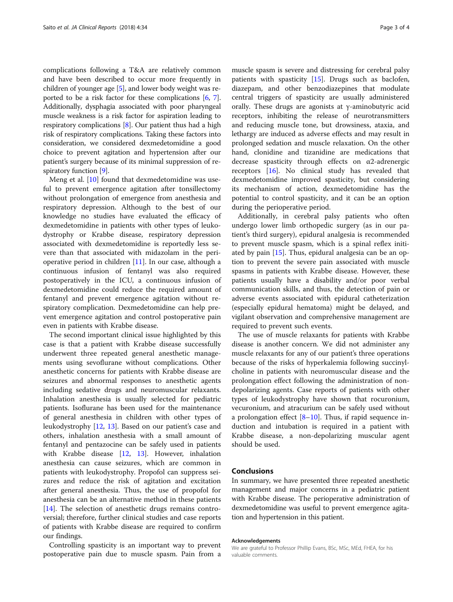complications following a T&A are relatively common and have been described to occur more frequently in children of younger age [\[5](#page-3-0)], and lower body weight was reported to be a risk factor for these complications [[6](#page-3-0), [7](#page-3-0)]. Additionally, dysphagia associated with poor pharyngeal muscle weakness is a risk factor for aspiration leading to respiratory complications  $[8]$  $[8]$  $[8]$ . Our patient thus had a high risk of respiratory complications. Taking these factors into consideration, we considered dexmedetomidine a good choice to prevent agitation and hypertension after our patient's surgery because of its minimal suppression of respiratory function [[9\]](#page-3-0).

Meng et al. [\[10](#page-3-0)] found that dexmedetomidine was useful to prevent emergence agitation after tonsillectomy without prolongation of emergence from anesthesia and respiratory depression. Although to the best of our knowledge no studies have evaluated the efficacy of dexmedetomidine in patients with other types of leukodystrophy or Krabbe disease, respiratory depression associated with dexmedetomidine is reportedly less severe than that associated with midazolam in the perioperative period in children [[11](#page-3-0)]. In our case, although a continuous infusion of fentanyl was also required postoperatively in the ICU, a continuous infusion of dexmedetomidine could reduce the required amount of fentanyl and prevent emergence agitation without respiratory complication. Dexmedetomidine can help prevent emergence agitation and control postoperative pain even in patients with Krabbe disease.

The second important clinical issue highlighted by this case is that a patient with Krabbe disease successfully underwent three repeated general anesthetic managements using sevoflurane without complications. Other anesthetic concerns for patients with Krabbe disease are seizures and abnormal responses to anesthetic agents including sedative drugs and neuromuscular relaxants. Inhalation anesthesia is usually selected for pediatric patients. Isoflurane has been used for the maintenance of general anesthesia in children with other types of leukodystrophy [[12,](#page-3-0) [13\]](#page-3-0). Based on our patient's case and others, inhalation anesthesia with a small amount of fentanyl and pentazocine can be safely used in patients with Krabbe disease [\[12,](#page-3-0) [13](#page-3-0)]. However, inhalation anesthesia can cause seizures, which are common in patients with leukodystrophy. Propofol can suppress seizures and reduce the risk of agitation and excitation after general anesthesia. Thus, the use of propofol for anesthesia can be an alternative method in these patients [[14\]](#page-3-0). The selection of anesthetic drugs remains controversial; therefore, further clinical studies and case reports of patients with Krabbe disease are required to confirm our findings.

Controlling spasticity is an important way to prevent postoperative pain due to muscle spasm. Pain from a

muscle spasm is severe and distressing for cerebral palsy patients with spasticity [[15](#page-3-0)]. Drugs such as baclofen, diazepam, and other benzodiazepines that modulate central triggers of spasticity are usually administered orally. These drugs are agonists at γ-aminobutyric acid receptors, inhibiting the release of neurotransmitters and reducing muscle tone, but drowsiness, ataxia, and lethargy are induced as adverse effects and may result in prolonged sedation and muscle relaxation. On the other hand, clonidine and tizanidine are medications that decrease spasticity through effects on α2-adrenergic receptors [\[16\]](#page-3-0). No clinical study has revealed that dexmedetomidine improved spasticity, but considering its mechanism of action, dexmedetomidine has the potential to control spasticity, and it can be an option during the perioperative period.

Additionally, in cerebral palsy patients who often undergo lower limb orthopedic surgery (as in our patient's third surgery), epidural analgesia is recommended to prevent muscle spasm, which is a spinal reflex initiated by pain [\[15](#page-3-0)]. Thus, epidural analgesia can be an option to prevent the severe pain associated with muscle spasms in patients with Krabbe disease. However, these patients usually have a disability and/or poor verbal communication skills, and thus, the detection of pain or adverse events associated with epidural catheterization (especially epidural hematoma) might be delayed, and vigilant observation and comprehensive management are required to prevent such events.

The use of muscle relaxants for patients with Krabbe disease is another concern. We did not administer any muscle relaxants for any of our patient's three operations because of the risks of hyperkalemia following succinylcholine in patients with neuromuscular disease and the prolongation effect following the administration of nondepolarizing agents. Case reports of patients with other types of leukodystrophy have shown that rocuronium, vecuronium, and atracurium can be safely used without a prolongation effect  $[8-10]$  $[8-10]$  $[8-10]$ . Thus, if rapid sequence induction and intubation is required in a patient with Krabbe disease, a non-depolarizing muscular agent should be used.

#### Conclusions

In summary, we have presented three repeated anesthetic management and major concerns in a pediatric patient with Krabbe disease. The perioperative administration of dexmedetomidine was useful to prevent emergence agitation and hypertension in this patient.

#### Acknowledgements

We are grateful to Professor Phillip Evans, BSc, MSc, MEd, FHEA, for his valuable comments.